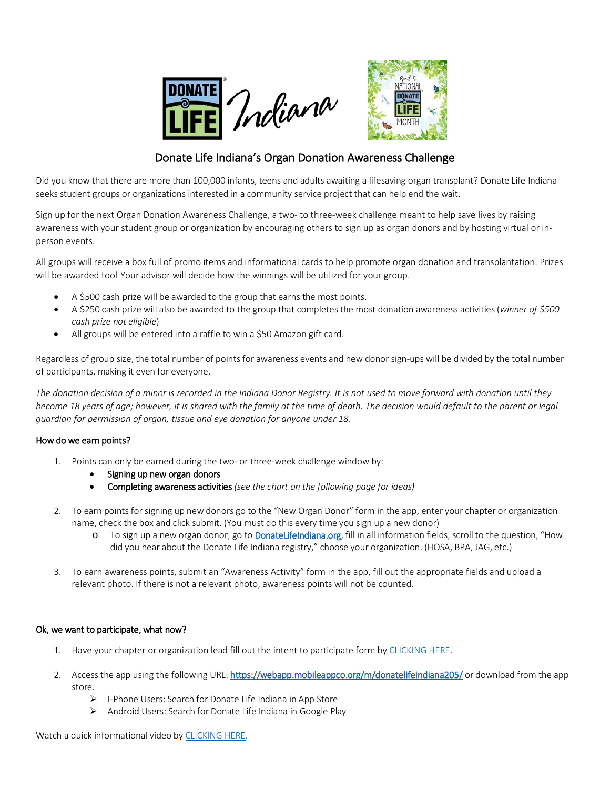



## Donate Life Indiana's Organ Donation Awareness Challenge

Did you know that there are more than 100,000 infants, teens and adults awaiting a lifesaving organ transplant? Donate Life Indiana seeks student groups or organizations interested in a community service project that can help end the wait.

Sign up for the next Organ Donation Awareness Challenge, a two- to three-week challenge meant to help save lives by raising awareness with your student group or organization by encouraging others to sign up as organ donors and by hosting virtual or inperson events.

All groups will receive a box full of promo items and informational cards to help promote organ donation and transplantation. Prizes will be awarded too! Your advisor will decide how the winnings will be utilized for your group.

- A \$500 cash prize will be awarded to the group that earns the most points.
- A \$250 cash prize will also be awarded to the group that completesthe most donation awareness activities (*winner of \$500 cash prize not eligible*)
- All groups will be entered into a raffle to win a \$50 Amazon gift card.

Regardless of group size, the total number of points for awareness events and new donor sign-ups will be divided by the total number of participants, making it even for everyone.

*The donation decision of a minor is recorded in the Indiana Donor Registry. It is not used to move forward with donation until they become 18 years of age; however, it is shared with the family at the time of death. The decision would default to the parent or legal guardian for permission of organ, tissue and eye donation for anyone under 18.*

## How do we earn points?

- 1. Points can only be earned during the two- or three-week challenge window by:
	- Signing up new organ donors
	- Completing awareness activities *(see the chart on the following page for ideas)*
- 2. To earn points for signing up new donors go to the "New Organ Donor" form in the app, enter your chapter or organization name, check the box and click submit. (You must do this every time you sign up a new donor)
	- o To sign up a new organ donor, go t[o DonateLifeIndiana.org,](https://www.donatelifeindiana.org/donor-registration) fill in all information fields, scroll to the question, "How did you hear about the Donate Life Indiana registry," choose your organization. (HOSA, BPA, JAG, etc.)
- 3. To earn awareness points, submit an "Awareness Activity" form in the app, fill out the appropriate fields and upload a relevant photo. If there is not a relevant photo, awareness points will not be counted.

## Ok, we want to participate, what now?

- 1. Have your chapter or organization lead fill out the intent to participate form by [CLICKING HERE.](https://www.donatelifeindiana.org/educators/resources/challenge)
- 2. Access the app using the following URL[: https://webapp.mobileappco.org/m/donatelifeindiana205/](https://webapp.mobileappco.org/m/donatelifeindiana205/) or download from the app store.
	- $\triangleright$  I-Phone Users: Search for Donate Life Indiana in App Store
	- Android Users: Search for Donate Life Indiana in Google Play

Watch a quick informational video by [CLICKING HERE.](https://www.youtube.com/watch?v=OJ8AkXEQmDk&feature=youtu.be)